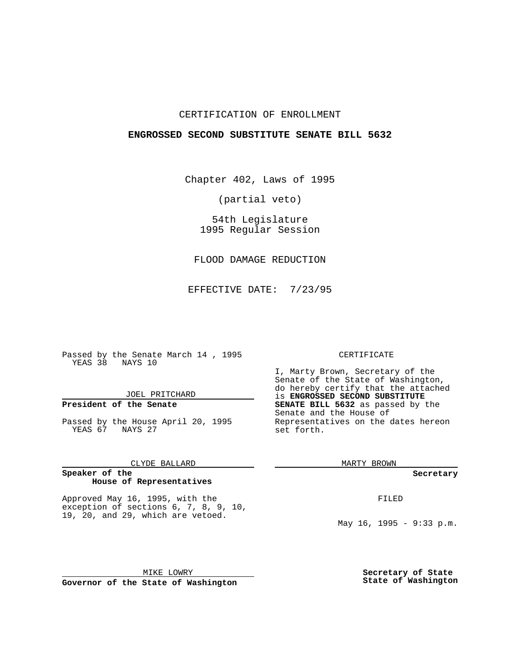### CERTIFICATION OF ENROLLMENT

### **ENGROSSED SECOND SUBSTITUTE SENATE BILL 5632**

Chapter 402, Laws of 1995

(partial veto)

54th Legislature 1995 Regular Session

FLOOD DAMAGE REDUCTION

EFFECTIVE DATE: 7/23/95

Passed by the Senate March 14 , 1995 YEAS 38 NAYS 10

JOEL PRITCHARD

## **President of the Senate**

Passed by the House April 20, 1995 YEAS 67 NAYS 27

CLYDE BALLARD

#### **Speaker of the House of Representatives**

Approved May 16, 1995, with the exception of sections 6, 7, 8, 9, 10, 19, 20, and 29, which are vetoed.

MIKE LOWRY **Governor of the State of Washington**

#### CERTIFICATE

I, Marty Brown, Secretary of the Senate of the State of Washington, do hereby certify that the attached is **ENGROSSED SECOND SUBSTITUTE SENATE BILL 5632** as passed by the Senate and the House of Representatives on the dates hereon set forth.

MARTY BROWN

**Secretary**

FILED

May  $16$ ,  $1995 - 9:33$  p.m.

**Secretary of State State of Washington**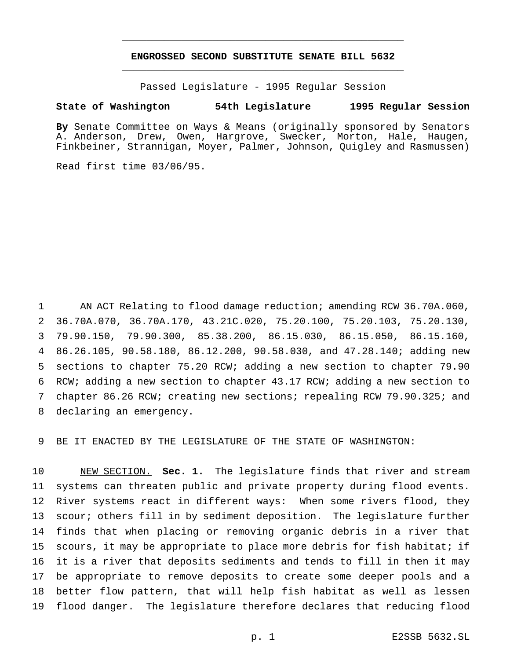## **ENGROSSED SECOND SUBSTITUTE SENATE BILL 5632** \_\_\_\_\_\_\_\_\_\_\_\_\_\_\_\_\_\_\_\_\_\_\_\_\_\_\_\_\_\_\_\_\_\_\_\_\_\_\_\_\_\_\_\_\_\_\_

\_\_\_\_\_\_\_\_\_\_\_\_\_\_\_\_\_\_\_\_\_\_\_\_\_\_\_\_\_\_\_\_\_\_\_\_\_\_\_\_\_\_\_\_\_\_\_

Passed Legislature - 1995 Regular Session

#### **State of Washington 54th Legislature 1995 Regular Session**

**By** Senate Committee on Ways & Means (originally sponsored by Senators A. Anderson, Drew, Owen, Hargrove, Swecker, Morton, Hale, Haugen, Finkbeiner, Strannigan, Moyer, Palmer, Johnson, Quigley and Rasmussen)

Read first time 03/06/95.

 AN ACT Relating to flood damage reduction; amending RCW 36.70A.060, 36.70A.070, 36.70A.170, 43.21C.020, 75.20.100, 75.20.103, 75.20.130, 79.90.150, 79.90.300, 85.38.200, 86.15.030, 86.15.050, 86.15.160, 86.26.105, 90.58.180, 86.12.200, 90.58.030, and 47.28.140; adding new sections to chapter 75.20 RCW; adding a new section to chapter 79.90 RCW; adding a new section to chapter 43.17 RCW; adding a new section to chapter 86.26 RCW; creating new sections; repealing RCW 79.90.325; and declaring an emergency.

BE IT ENACTED BY THE LEGISLATURE OF THE STATE OF WASHINGTON:

 NEW SECTION. **Sec. 1.** The legislature finds that river and stream systems can threaten public and private property during flood events. River systems react in different ways: When some rivers flood, they 13 scour; others fill in by sediment deposition. The legislature further finds that when placing or removing organic debris in a river that scours, it may be appropriate to place more debris for fish habitat; if it is a river that deposits sediments and tends to fill in then it may be appropriate to remove deposits to create some deeper pools and a better flow pattern, that will help fish habitat as well as lessen flood danger. The legislature therefore declares that reducing flood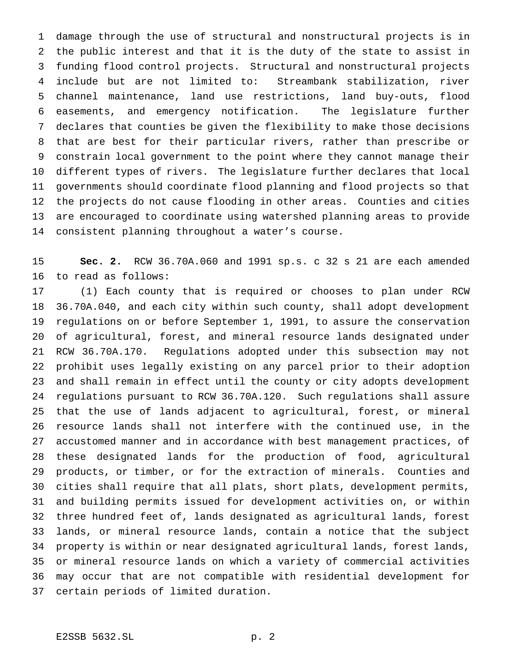damage through the use of structural and nonstructural projects is in the public interest and that it is the duty of the state to assist in funding flood control projects. Structural and nonstructural projects include but are not limited to: Streambank stabilization, river channel maintenance, land use restrictions, land buy-outs, flood easements, and emergency notification. The legislature further declares that counties be given the flexibility to make those decisions that are best for their particular rivers, rather than prescribe or constrain local government to the point where they cannot manage their different types of rivers. The legislature further declares that local governments should coordinate flood planning and flood projects so that the projects do not cause flooding in other areas. Counties and cities are encouraged to coordinate using watershed planning areas to provide consistent planning throughout a water's course.

 **Sec. 2.** RCW 36.70A.060 and 1991 sp.s. c 32 s 21 are each amended to read as follows:

 (1) Each county that is required or chooses to plan under RCW 36.70A.040, and each city within such county, shall adopt development regulations on or before September 1, 1991, to assure the conservation of agricultural, forest, and mineral resource lands designated under RCW 36.70A.170. Regulations adopted under this subsection may not prohibit uses legally existing on any parcel prior to their adoption and shall remain in effect until the county or city adopts development regulations pursuant to RCW 36.70A.120. Such regulations shall assure that the use of lands adjacent to agricultural, forest, or mineral resource lands shall not interfere with the continued use, in the accustomed manner and in accordance with best management practices, of these designated lands for the production of food, agricultural products, or timber, or for the extraction of minerals. Counties and cities shall require that all plats, short plats, development permits, and building permits issued for development activities on, or within three hundred feet of, lands designated as agricultural lands, forest lands, or mineral resource lands, contain a notice that the subject property is within or near designated agricultural lands, forest lands, or mineral resource lands on which a variety of commercial activities may occur that are not compatible with residential development for certain periods of limited duration.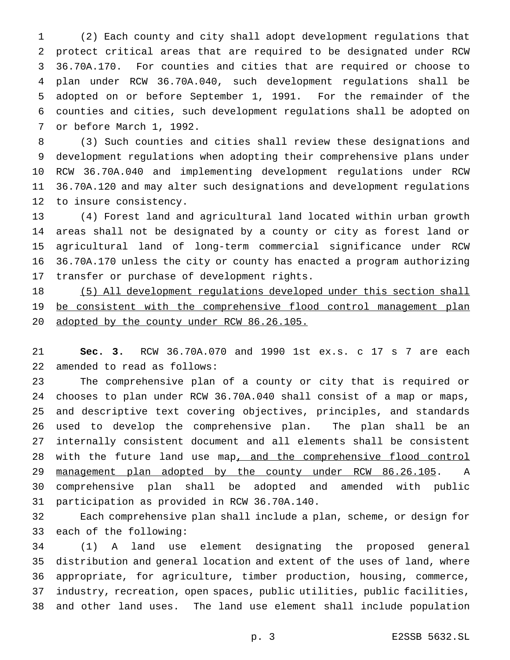(2) Each county and city shall adopt development regulations that protect critical areas that are required to be designated under RCW 36.70A.170. For counties and cities that are required or choose to plan under RCW 36.70A.040, such development regulations shall be adopted on or before September 1, 1991. For the remainder of the counties and cities, such development regulations shall be adopted on or before March 1, 1992.

 (3) Such counties and cities shall review these designations and development regulations when adopting their comprehensive plans under RCW 36.70A.040 and implementing development regulations under RCW 36.70A.120 and may alter such designations and development regulations to insure consistency.

 (4) Forest land and agricultural land located within urban growth areas shall not be designated by a county or city as forest land or agricultural land of long-term commercial significance under RCW 36.70A.170 unless the city or county has enacted a program authorizing transfer or purchase of development rights.

 (5) All development regulations developed under this section shall 19 be consistent with the comprehensive flood control management plan 20 adopted by the county under RCW 86.26.105.

 **Sec. 3.** RCW 36.70A.070 and 1990 1st ex.s. c 17 s 7 are each amended to read as follows:

 The comprehensive plan of a county or city that is required or chooses to plan under RCW 36.70A.040 shall consist of a map or maps, and descriptive text covering objectives, principles, and standards used to develop the comprehensive plan. The plan shall be an internally consistent document and all elements shall be consistent 28 with the future land use map, and the comprehensive flood control 29 management plan adopted by the county under RCW 86.26.105. A comprehensive plan shall be adopted and amended with public participation as provided in RCW 36.70A.140.

 Each comprehensive plan shall include a plan, scheme, or design for each of the following:

 (1) A land use element designating the proposed general distribution and general location and extent of the uses of land, where appropriate, for agriculture, timber production, housing, commerce, industry, recreation, open spaces, public utilities, public facilities, and other land uses. The land use element shall include population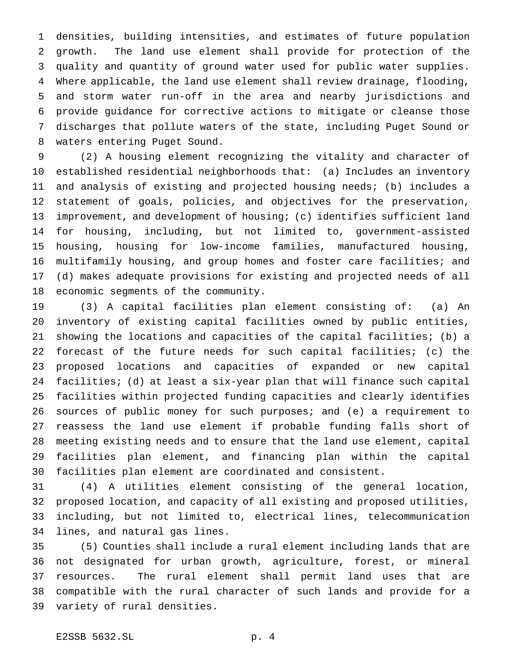densities, building intensities, and estimates of future population growth. The land use element shall provide for protection of the quality and quantity of ground water used for public water supplies. Where applicable, the land use element shall review drainage, flooding, and storm water run-off in the area and nearby jurisdictions and provide guidance for corrective actions to mitigate or cleanse those discharges that pollute waters of the state, including Puget Sound or waters entering Puget Sound.

 (2) A housing element recognizing the vitality and character of established residential neighborhoods that: (a) Includes an inventory and analysis of existing and projected housing needs; (b) includes a statement of goals, policies, and objectives for the preservation, improvement, and development of housing; (c) identifies sufficient land for housing, including, but not limited to, government-assisted housing, housing for low-income families, manufactured housing, multifamily housing, and group homes and foster care facilities; and (d) makes adequate provisions for existing and projected needs of all economic segments of the community.

 (3) A capital facilities plan element consisting of: (a) An inventory of existing capital facilities owned by public entities, showing the locations and capacities of the capital facilities; (b) a forecast of the future needs for such capital facilities; (c) the proposed locations and capacities of expanded or new capital facilities; (d) at least a six-year plan that will finance such capital facilities within projected funding capacities and clearly identifies sources of public money for such purposes; and (e) a requirement to reassess the land use element if probable funding falls short of meeting existing needs and to ensure that the land use element, capital facilities plan element, and financing plan within the capital facilities plan element are coordinated and consistent.

 (4) A utilities element consisting of the general location, proposed location, and capacity of all existing and proposed utilities, including, but not limited to, electrical lines, telecommunication lines, and natural gas lines.

 (5) Counties shall include a rural element including lands that are not designated for urban growth, agriculture, forest, or mineral resources. The rural element shall permit land uses that are compatible with the rural character of such lands and provide for a variety of rural densities.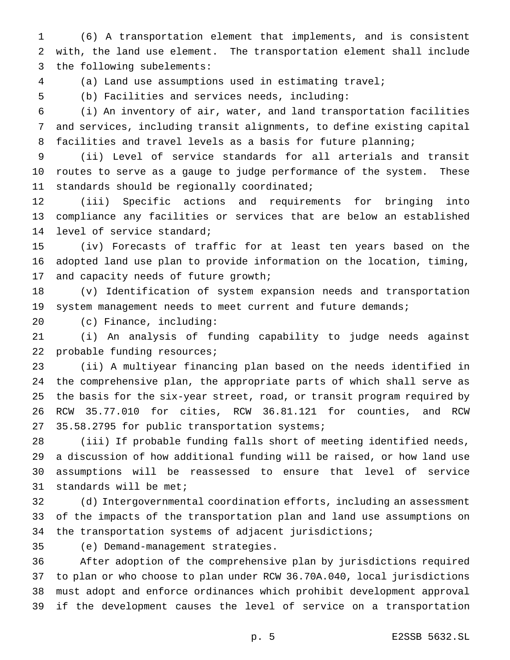(6) A transportation element that implements, and is consistent with, the land use element. The transportation element shall include the following subelements:

(a) Land use assumptions used in estimating travel;

(b) Facilities and services needs, including:

 (i) An inventory of air, water, and land transportation facilities and services, including transit alignments, to define existing capital facilities and travel levels as a basis for future planning;

 (ii) Level of service standards for all arterials and transit routes to serve as a gauge to judge performance of the system. These standards should be regionally coordinated;

 (iii) Specific actions and requirements for bringing into compliance any facilities or services that are below an established level of service standard;

 (iv) Forecasts of traffic for at least ten years based on the adopted land use plan to provide information on the location, timing, 17 and capacity needs of future growth;

 (v) Identification of system expansion needs and transportation 19 system management needs to meet current and future demands;

(c) Finance, including:

 (i) An analysis of funding capability to judge needs against probable funding resources;

 (ii) A multiyear financing plan based on the needs identified in the comprehensive plan, the appropriate parts of which shall serve as the basis for the six-year street, road, or transit program required by RCW 35.77.010 for cities, RCW 36.81.121 for counties, and RCW 35.58.2795 for public transportation systems;

 (iii) If probable funding falls short of meeting identified needs, a discussion of how additional funding will be raised, or how land use assumptions will be reassessed to ensure that level of service standards will be met;

 (d) Intergovernmental coordination efforts, including an assessment of the impacts of the transportation plan and land use assumptions on the transportation systems of adjacent jurisdictions;

(e) Demand-management strategies.

 After adoption of the comprehensive plan by jurisdictions required to plan or who choose to plan under RCW 36.70A.040, local jurisdictions must adopt and enforce ordinances which prohibit development approval if the development causes the level of service on a transportation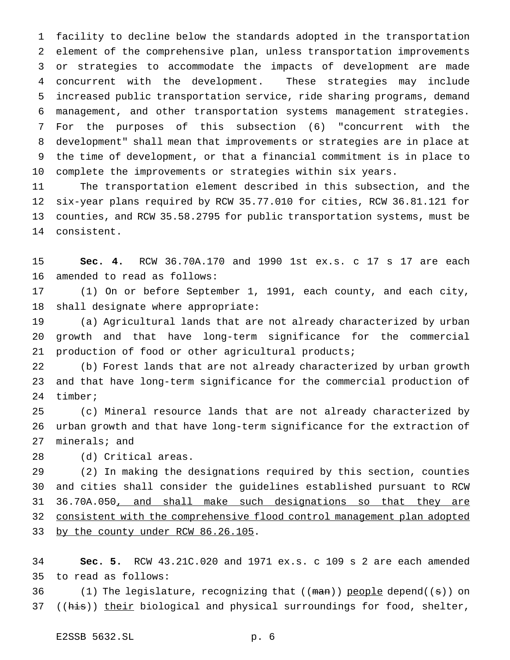facility to decline below the standards adopted in the transportation element of the comprehensive plan, unless transportation improvements or strategies to accommodate the impacts of development are made concurrent with the development. These strategies may include increased public transportation service, ride sharing programs, demand management, and other transportation systems management strategies. For the purposes of this subsection (6) "concurrent with the development" shall mean that improvements or strategies are in place at the time of development, or that a financial commitment is in place to complete the improvements or strategies within six years.

 The transportation element described in this subsection, and the six-year plans required by RCW 35.77.010 for cities, RCW 36.81.121 for counties, and RCW 35.58.2795 for public transportation systems, must be consistent.

 **Sec. 4.** RCW 36.70A.170 and 1990 1st ex.s. c 17 s 17 are each amended to read as follows:

 (1) On or before September 1, 1991, each county, and each city, shall designate where appropriate:

 (a) Agricultural lands that are not already characterized by urban growth and that have long-term significance for the commercial production of food or other agricultural products;

 (b) Forest lands that are not already characterized by urban growth and that have long-term significance for the commercial production of timber;

 (c) Mineral resource lands that are not already characterized by urban growth and that have long-term significance for the extraction of minerals; and

(d) Critical areas.

 (2) In making the designations required by this section, counties and cities shall consider the guidelines established pursuant to RCW 36.70A.050, and shall make such designations so that they are consistent with the comprehensive flood control management plan adopted 33 by the county under RCW 86.26.105.

 **Sec. 5.** RCW 43.21C.020 and 1971 ex.s. c 109 s 2 are each amended to read as follows:

36 (1) The legislature, recognizing that (( $\frac{1}{10}$ ) people depend(( $\frac{1}{5}$ )) on 37 ((his)) their biological and physical surroundings for food, shelter,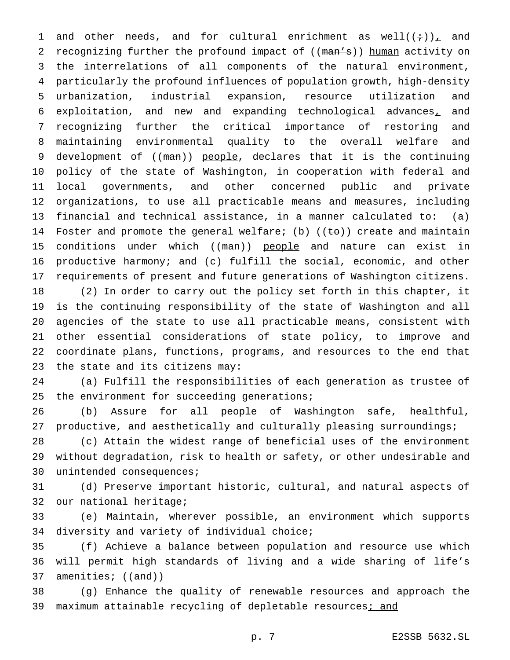1 and other needs, and for cultural enrichment as well $((\div))_{\perp}$  and 2 recognizing further the profound impact of ((man's)) human activity on the interrelations of all components of the natural environment, particularly the profound influences of population growth, high-density urbanization, industrial expansion, resource utilization and exploitation, and new and expanding technological advances, and recognizing further the critical importance of restoring and maintaining environmental quality to the overall welfare and 9 development of ((man)) people, declares that it is the continuing policy of the state of Washington, in cooperation with federal and local governments, and other concerned public and private organizations, to use all practicable means and measures, including financial and technical assistance, in a manner calculated to: (a) 14 Foster and promote the general welfare; (b)  $((\pm \theta))$  create and maintain 15 conditions under which ((man)) people and nature can exist in productive harmony; and (c) fulfill the social, economic, and other requirements of present and future generations of Washington citizens. (2) In order to carry out the policy set forth in this chapter, it is the continuing responsibility of the state of Washington and all agencies of the state to use all practicable means, consistent with

 other essential considerations of state policy, to improve and coordinate plans, functions, programs, and resources to the end that the state and its citizens may:

 (a) Fulfill the responsibilities of each generation as trustee of 25 the environment for succeeding generations;

 (b) Assure for all people of Washington safe, healthful, productive, and aesthetically and culturally pleasing surroundings;

 (c) Attain the widest range of beneficial uses of the environment without degradation, risk to health or safety, or other undesirable and unintended consequences;

 (d) Preserve important historic, cultural, and natural aspects of our national heritage;

 (e) Maintain, wherever possible, an environment which supports diversity and variety of individual choice;

 (f) Achieve a balance between population and resource use which will permit high standards of living and a wide sharing of life's 37 amenities; ((and))

 (g) Enhance the quality of renewable resources and approach the 39 maximum attainable recycling of depletable resources; and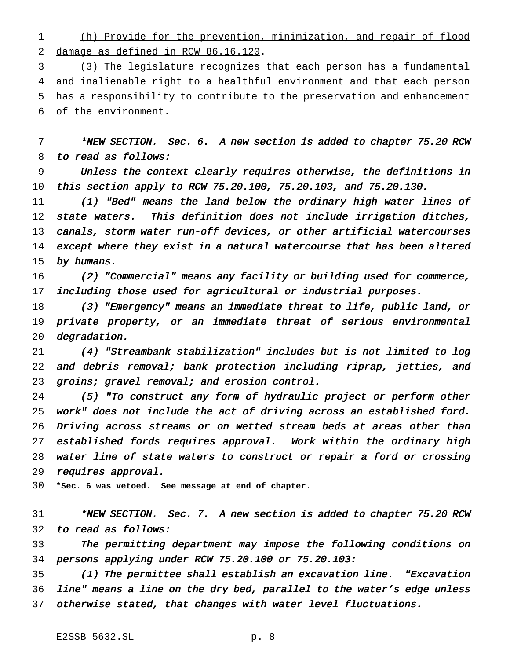(h) Provide for the prevention, minimization, and repair of flood damage as defined in RCW 86.16.120.

 (3) The legislature recognizes that each person has a fundamental and inalienable right to a healthful environment and that each person has a responsibility to contribute to the preservation and enhancement of the environment.

7 \*NEW SECTION. Sec. 6. A new section is added to chapter 75.20 RCW to read as follows:

 Unless the context clearly requires otherwise, the definitions in this section apply to RCW 75.20.100, 75.20.103, and 75.20.130.

 (1) "Bed" means the land below the ordinary high water lines of 12 state waters. This definition does not include irrigation ditches, canals, storm water run-off devices, or other artificial watercourses except where they exist in <sup>a</sup> natural watercourse that has been altered 15 by humans.

 (2) "Commercial" means any facility or building used for commerce, including those used for agricultural or industrial purposes.

 (3) "Emergency" means an immediate threat to life, public land, or private property, or an immediate threat of serious environmental degradation.

 (4) "Streambank stabilization" includes but is not limited to log 22 and debris removal; bank protection including riprap, jetties, and 23 groins; gravel removal; and erosion control.

 (5) "To construct any form of hydraulic project or perform other work" does not include the act of driving across an established ford. Driving across streams or on wetted stream beds at areas other than established fords requires approval. Work within the ordinary high water line of state waters to construct or repair <sup>a</sup> ford or crossing requires approval.

**\*Sec. 6 was vetoed. See message at end of chapter.**

31 \*NEW SECTION. Sec. 7. A new section is added to chapter 75.20 RCW to read as follows:

 The permitting department may impose the following conditions on persons applying under RCW 75.20.100 or 75.20.103:

 (1) The permittee shall establish an excavation line. "Excavation line" means <sup>a</sup> line on the dry bed, parallel to the water's edge unless otherwise stated, that changes with water level fluctuations.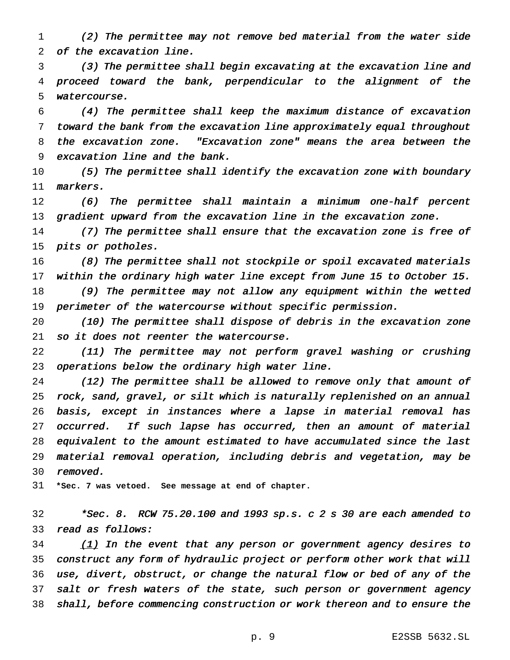(2) The permittee may not remove bed material from the water side of the excavation line.

 (3) The permittee shall begin excavating at the excavation line and proceed toward the bank, perpendicular to the alignment of the watercourse.

 (4) The permittee shall keep the maximum distance of excavation toward the bank from the excavation line approximately equal throughout the excavation zone. "Excavation zone" means the area between the excavation line and the bank.

 (5) The permittee shall identify the excavation zone with boundary markers.

 (6) The permittee shall maintain <sup>a</sup> minimum one-half percent gradient upward from the excavation line in the excavation zone.

 (7) The permittee shall ensure that the excavation zone is free of pits or potholes.

16 (8) The permittee shall not stockpile or spoil excavated materials within the ordinary high water line except from June <sup>15</sup> to October 15.

 (9) The permittee may not allow any equipment within the wetted perimeter of the watercourse without specific permission.

 (10) The permittee shall dispose of debris in the excavation zone so it does not reenter the watercourse.

 (11) The permittee may not perform gravel washing or crushing operations below the ordinary high water line.

 (12) The permittee shall be allowed to remove only that amount of rock, sand, gravel, or silt which is naturally replenished on an annual basis, except in instances where <sup>a</sup> lapse in material removal has 27 occurred. If such lapse has occurred, then an amount of material equivalent to the amount estimated to have accumulated since the last material removal operation, including debris and vegetation, may be removed.

**\*Sec. 7 was vetoed. See message at end of chapter.**

 \*Sec. 8. RCW 75.20.100 and <sup>1993</sup> sp.s. <sup>c</sup> <sup>2</sup> <sup>s</sup> <sup>30</sup> are each amended to read as follows:

 (1) In the event that any person or government agency desires to construct any form of hydraulic project or perform other work that will use, divert, obstruct, or change the natural flow or bed of any of the 37 salt or fresh waters of the state, such person or government agency shall, before commencing construction or work thereon and to ensure the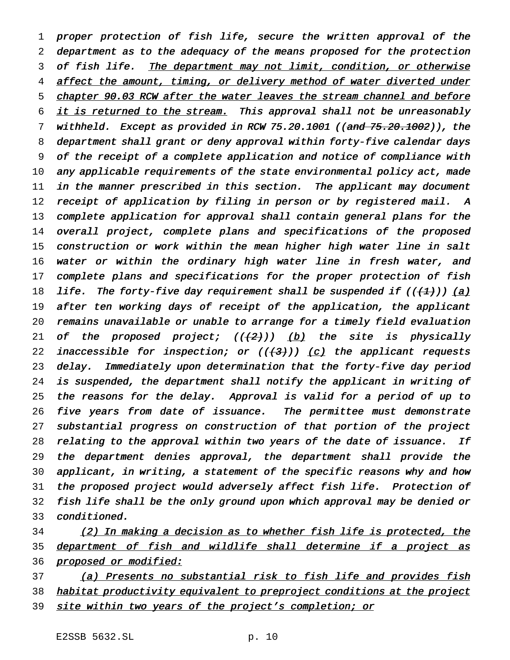proper protection of fish life, secure the written approval of the department as to the adequacy of the means proposed for the protection 3 of fish life. The department may not limit, condition, or otherwise 4 affect the amount, timing, or delivery method of water diverted under chapter 90.03 RCW after the water leaves the stream channel and before 6 it is returned to the stream. This approval shall not be unreasonably 7 withheld. Except as provided in RCW 75.20.1001 ((and 75.20.1002)), the department shall grant or deny approval within forty-five calendar days of the receipt of <sup>a</sup> complete application and notice of compliance with 10 any applicable requirements of the state environmental policy act, made in the manner prescribed in this section. The applicant may document receipt of application by filing in person or by registered mail. <sup>A</sup> complete application for approval shall contain general plans for the overall project, complete plans and specifications of the proposed construction or work within the mean higher high water line in salt water or within the ordinary high water line in fresh water, and 17 complete plans and specifications for the proper protection of fish 18 life. The forty-five day requirement shall be suspended if  $((+1))$  (a) after ten working days of receipt of the application, the applicant remains unavailable or unable to arrange for <sup>a</sup> timely field evaluation 21 of the proposed project;  $((2)$ ) (b) the site is physically 22 inaccessible for inspection; or  $((+3))$   $(c)$  the applicant requests delay. Immediately upon determination that the forty-five day period is suspended, the department shall notify the applicant in writing of the reasons for the delay. Approval is valid for <sup>a</sup> period of up to 26 five years from date of issuance. The permittee must demonstrate substantial progress on construction of that portion of the project relating to the approval within two years of the date of issuance. If the department denies approval, the department shall provide the applicant, in writing, <sup>a</sup> statement of the specific reasons why and how the proposed project would adversely affect fish life. Protection of fish life shall be the only ground upon which approval may be denied or conditioned.

34 (2) In making a decision as to whether fish life is protected, the 35 department of fish and wildlife shall determine if a project as 36 proposed or modified:

37 (a) Presents no substantial risk to fish life and provides fish 38 habitat productivity equivalent to preproject conditions at the project 39 site within two years of the project's completion; or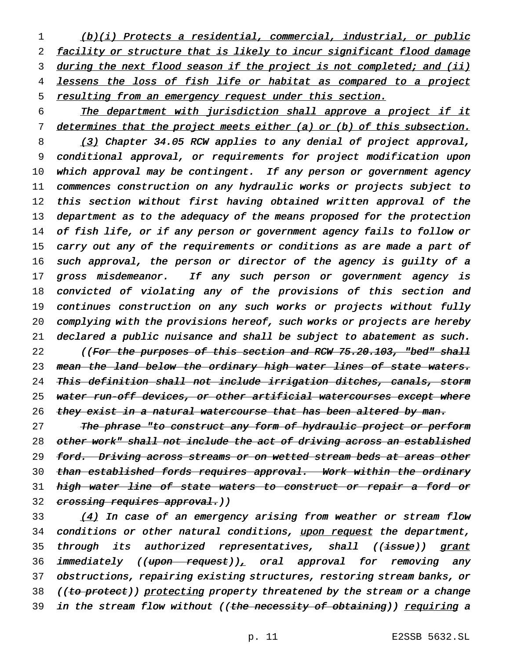1 (b)(i) Protects <sup>a</sup> residential, commercial, industrial, or public 2 facility or structure that is likely to incur significant flood damage 3 during the next flood season if the project is not completed; and (ii) 4 lessens the loss of fish life or habitat as compared to <sup>a</sup> project 5 resulting from an emergency request under this section.

6 The department with jurisdiction shall approve a project if it 7 determines that the project meets either (a) or (b) of this subsection.

8 (3) Chapter 34.05 RCW applies to any denial of project approval, conditional approval, or requirements for project modification upon which approval may be contingent. If any person or government agency commences construction on any hydraulic works or projects subject to this section without first having obtained written approval of the 13 department as to the adequacy of the means proposed for the protection of fish life, or if any person or government agency fails to follow or carry out any of the requirements or conditions as are made <sup>a</sup> part of such approval, the person or director of the agency is guilty of <sup>a</sup> 17 gross misdemeanor. If any such person or government agency is convicted of violating any of the provisions of this section and continues construction on any such works or projects without fully complying with the provisions hereof, such works or projects are hereby declared <sup>a</sup> public nuisance and shall be subject to abatement as such.

22 (For the purposes of this section and RCW 75.20.103, "bed" shall 23 mean the land below the ordinary high water lines of state waters. 24 This definition shall not include irrigation ditches, canals, storm 25 water run-off devices, or other artificial watercourses except where 26 they exist in a natural watercourse that has been altered by man.

27 The phrase "to construct any form of hydraulic project or perform 28 other work" shall not include the act of driving across an established 29 ford. Driving across streams or on wetted stream beds at areas other 30 than established fords requires approval. Work within the ordinary 31 high water line of state waters to construct or repair a ford or 32 crossing requires approval.))

33 (4) In case of an emergency arising from weather or stream flow 34 conditions or other natural conditions, upon request the department, 35 through its authorized representatives, shall ((issue)) grant 36 immediately ((upon request)), oral approval for removing any 37 obstructions, repairing existing structures, restoring stream banks, or 38 ((to protect)) protecting property threatened by the stream or a change 39 in the stream flow without ((<del>the necessity of obtaining</del>)) <u>requiring</u> a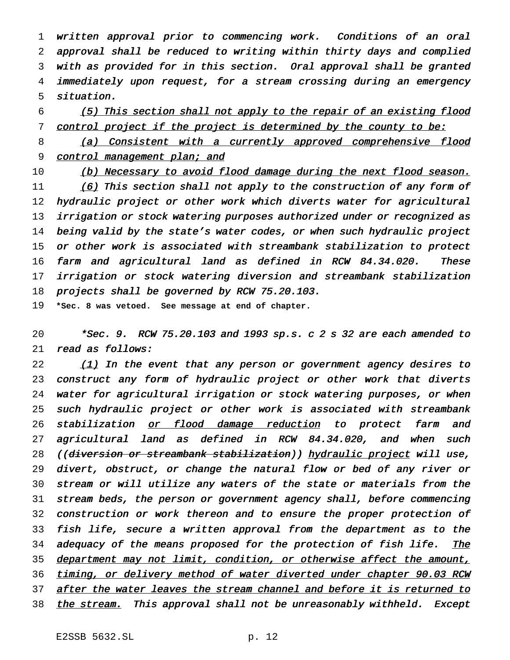written approval prior to commencing work. Conditions of an oral approval shall be reduced to writing within thirty days and complied with as provided for in this section. Oral approval shall be granted immediately upon request, for <sup>a</sup> stream crossing during an emergency situation.

 (5) This section shall not apply to the repair of an existing flood 7 control project if the project is determined by the county to be:

8 (a) Consistent with a currently approved comprehensive flood 9 control management plan; and

10 (b) Necessary to avoid flood damage during the next flood season. 11 (6) This section shall not apply to the construction of any form of hydraulic project or other work which diverts water for agricultural irrigation or stock watering purposes authorized under or recognized as being valid by the state's water codes, or when such hydraulic project or other work is associated with streambank stabilization to protect farm and agricultural land as defined in RCW 84.34.020. These irrigation or stock watering diversion and streambank stabilization projects shall be governed by RCW 75.20.103.

**\*Sec. 8 was vetoed. See message at end of chapter.**

 \*Sec. 9. RCW 75.20.103 and <sup>1993</sup> sp.s. <sup>c</sup> <sup>2</sup> <sup>s</sup> <sup>32</sup> are each amended to read as follows:

 $(1)$  In the event that any person or government agency desires to construct any form of hydraulic project or other work that diverts water for agricultural irrigation or stock watering purposes, or when such hydraulic project or other work is associated with streambank 26 stabilization or flood damage reduction to protect farm and agricultural land as defined in RCW 84.34.020, and when such 28 ((diversion or streambank stabilization)) hydraulic project will use, divert, obstruct, or change the natural flow or bed of any river or stream or will utilize any waters of the state or materials from the stream beds, the person or government agency shall, before commencing construction or work thereon and to ensure the proper protection of fish life, secure <sup>a</sup> written approval from the department as to the 34 adequacy of the means proposed for the protection of fish life. The 35 department may not limit, condition, or otherwise affect the amount, 36 timing, or delivery method of water diverted under chapter 90.03 RCW 37 after the water leaves the stream channel and before it is returned to 38 the stream. This approval shall not be unreasonably withheld. Except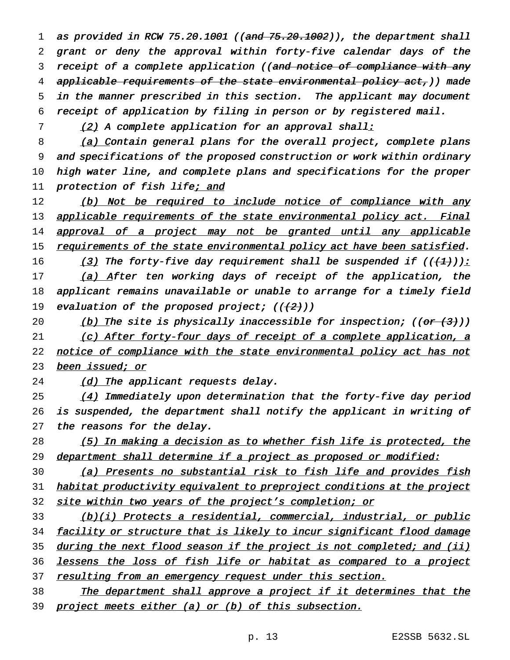1 as provided in RCW 75.20.1001 ((and 75.20.1002)), the department shall 2 grant or deny the approval within forty-five calendar days of the 3 receipt of a complete application ((and notice of compliance with any 4 applicable requirements of the state environmental policy act,)) made 5 in the manner prescribed in this section. The applicant may document 6 receipt of application by filing in person or by registered mail.

7 (2) A complete application for an approval shall:

8 (a) Contain general plans for the overall project, complete plans 9 and specifications of the proposed construction or work within ordinary 10 high water line, and complete plans and specifications for the proper 11 protection of fish life; and

12 (b) Not be required to include notice of compliance with any 13 applicable requirements of the state environmental policy act. Final 14 approval of a project may not be granted until any applicable 15 requirements of the state environmental policy act have been satisfied.

16 (3) The forty-five day requirement shall be suspended if  $((\{+})')$ : 17 (a) After ten working days of receipt of the application, the 18 applicant remains unavailable or unable to arrange for <sup>a</sup> timely field 19 evaluation of the proposed project;  $((+2))$ 

- 20 (b) The site is physically inaccessible for inspection;  $((or (3))$ 21 (c) After forty-four days of receipt of a complete application, a 22 notice of compliance with the state environmental policy act has not 23 been issued; or
- 

24 (d) The applicant requests delay.

25  $(4)$  Immediately upon determination that the forty-five day period 26 is suspended, the department shall notify the applicant in writing of 27 the reasons for the delay.

28 (5) In making a decision as to whether fish life is protected, the 29 department shall determine if a project as proposed or modified:

30 (a) Presents no substantial risk to fish life and provides fish 31 habitat productivity equivalent to preproject conditions at the project 32 site within two years of the project's completion; or

33 (b)(i) Protects a residential, commercial, industrial, or public 34 facility or structure that is likely to incur significant flood damage 35 during the next flood season if the project is not completed; and (ii) 36 lessens the loss of fish life or habitat as compared to a project 37 resulting from an emergency request under this section.

38 The department shall approve a project if it determines that the 39 project meets either (a) or (b) of this subsection.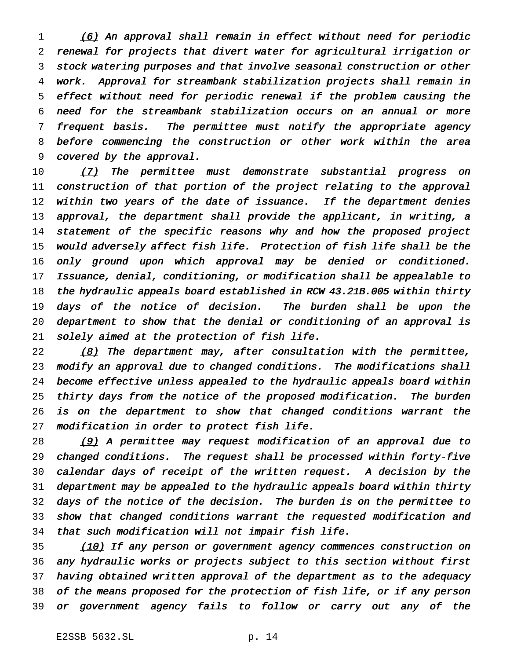1 (6) An approval shall remain in effect without need for periodic renewal for projects that divert water for agricultural irrigation or stock watering purposes and that involve seasonal construction or other work. Approval for streambank stabilization projects shall remain in effect without need for periodic renewal if the problem causing the need for the streambank stabilization occurs on an annual or more frequent basis. The permittee must notify the appropriate agency before commencing the construction or other work within the area covered by the approval.

10 (7) The permittee must demonstrate substantial progress on construction of that portion of the project relating to the approval 12 within two years of the date of issuance. If the department denies approval, the department shall provide the applicant, in writing, <sup>a</sup> 14 statement of the specific reasons why and how the proposed project would adversely affect fish life. Protection of fish life shall be the 16 only ground upon which approval may be denied or conditioned. Issuance, denial, conditioning, or modification shall be appealable to the hydraulic appeals board established in RCW 43.21B.005 within thirty days of the notice of decision. The burden shall be upon the department to show that the denial or conditioning of an approval is solely aimed at the protection of fish life.

 $(8)$  The department may, after consultation with the permittee, modify an approval due to changed conditions. The modifications shall become effective unless appealed to the hydraulic appeals board within thirty days from the notice of the proposed modification. The burden is on the department to show that changed conditions warrant the modification in order to protect fish life.

 (9) A permittee may request modification of an approval due to changed conditions. The request shall be processed within forty-five calendar days of receipt of the written request. <sup>A</sup> decision by the department may be appealed to the hydraulic appeals board within thirty days of the notice of the decision. The burden is on the permittee to show that changed conditions warrant the requested modification and that such modification will not impair fish life.

35 (10) If any person or government agency commences construction on any hydraulic works or projects subject to this section without first having obtained written approval of the department as to the adequacy of the means proposed for the protection of fish life, or if any person or government agency fails to follow or carry out any of the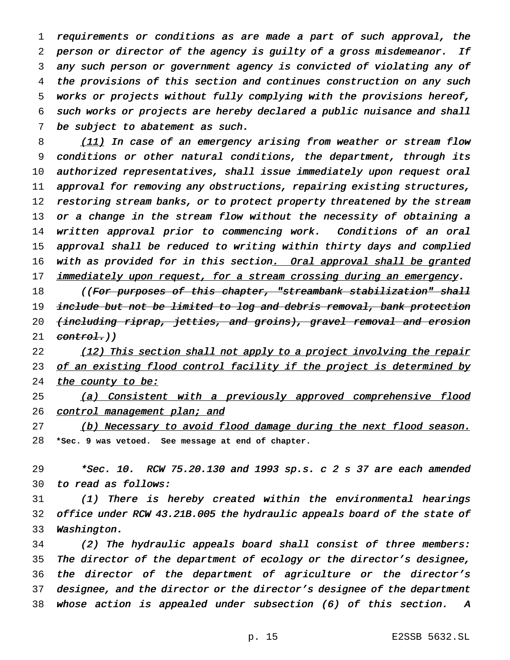requirements or conditions as are made <sup>a</sup> part of such approval, the person or director of the agency is guilty of <sup>a</sup> gross misdemeanor. If any such person or government agency is convicted of violating any of the provisions of this section and continues construction on any such works or projects without fully complying with the provisions hereof, such works or projects are hereby declared <sup>a</sup> public nuisance and shall be subject to abatement as such.

8 (11) In case of an emergency arising from weather or stream flow 9 conditions or other natural conditions, the department, through its 10 authorized representatives, shall issue immediately upon request oral 11 approval for removing any obstructions, repairing existing structures, 12 restoring stream banks, or to protect property threatened by the stream 13 or a change in the stream flow without the necessity of obtaining a 14 written approval prior to commencing work. Conditions of an oral 15 approval shall be reduced to writing within thirty days and complied 16 with as provided for in this section. Oral approval shall be granted 17 immediately upon request, for a stream crossing during an emergency.

18 ((For purposes of this chapter, "streambank stabilization" shall 19 include but not be limited to log and debris removal, bank protection 20 (including riprap, jetties, and groins), gravel removal and erosion 21 control.))

22 (12) This section shall not apply to a project involving the repair 23 of an existing flood control facility if the project is determined by 24 the county to be:

25 (a) Consistent with a previously approved comprehensive flood 26 control management plan; and

27 (b) Necessary to avoid flood damage during the next flood season. 28 **\*Sec. 9 was vetoed. See message at end of chapter.**

29 \*Sec. 10. RCW 75.20.130 and <sup>1993</sup> sp.s. <sup>c</sup> <sup>2</sup> <sup>s</sup> <sup>37</sup> are each amended 30 to read as follows:

31 (1) There is hereby created within the environmental hearings 32 office under RCW 43.21B.005 the hydraulic appeals board of the state of 33 Washington.

 (2) The hydraulic appeals board shall consist of three members: 35 The director of the department of ecology or the director's designee, the director of the department of agriculture or the director's designee, and the director or the director's designee of the department whose action is appealed under subsection (6) of this section. <sup>A</sup>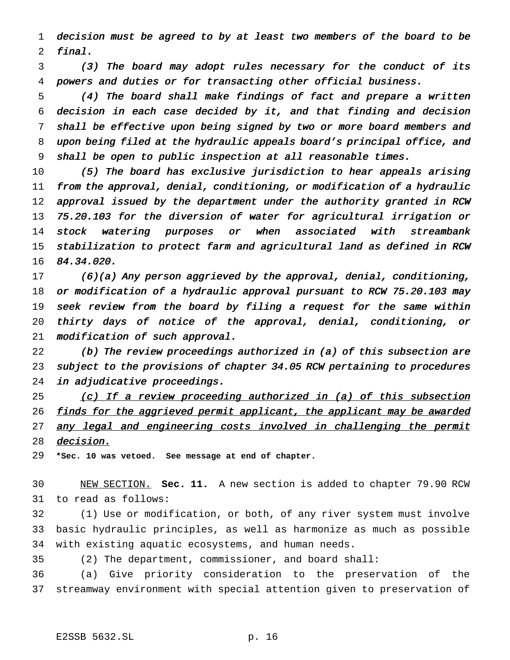decision must be agreed to by at least two members of the board to be final.

 (3) The board may adopt rules necessary for the conduct of its powers and duties or for transacting other official business.

 (4) The board shall make findings of fact and prepare <sup>a</sup> written decision in each case decided by it, and that finding and decision shall be effective upon being signed by two or more board members and upon being filed at the hydraulic appeals board's principal office, and shall be open to public inspection at all reasonable times.

 (5) The board has exclusive jurisdiction to hear appeals arising from the approval, denial, conditioning, or modification of <sup>a</sup> hydraulic approval issued by the department under the authority granted in RCW 75.20.103 for the diversion of water for agricultural irrigation or stock watering purposes or when associated with streambank stabilization to protect farm and agricultural land as defined in RCW 84.34.020.

 (6)(a) Any person aggrieved by the approval, denial, conditioning, or modification of <sup>a</sup> hydraulic approval pursuant to RCW 75.20.103 may 19 seek review from the board by filing a request for the same within thirty days of notice of the approval, denial, conditioning, or modification of such approval.

 (b) The review proceedings authorized in (a) of this subsection are subject to the provisions of chapter 34.05 RCW pertaining to procedures in adjudicative proceedings.

25 (c) If a review proceeding authorized in (a) of this subsection 26 finds for the aggrieved permit applicant, the applicant may be awarded 27 any legal and engineering costs involved in challenging the permit 28 decision.

**\*Sec. 10 was vetoed. See message at end of chapter.**

 NEW SECTION. **Sec. 11.** A new section is added to chapter 79.90 RCW to read as follows:

 (1) Use or modification, or both, of any river system must involve basic hydraulic principles, as well as harmonize as much as possible with existing aquatic ecosystems, and human needs.

(2) The department, commissioner, and board shall:

 (a) Give priority consideration to the preservation of the streamway environment with special attention given to preservation of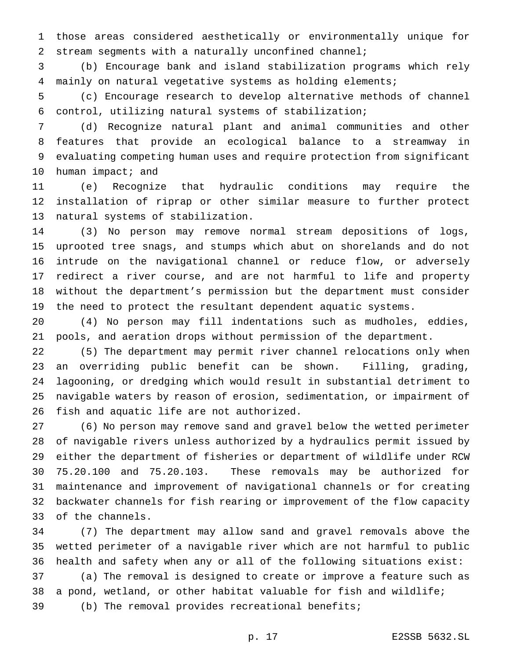those areas considered aesthetically or environmentally unique for stream segments with a naturally unconfined channel;

 (b) Encourage bank and island stabilization programs which rely mainly on natural vegetative systems as holding elements;

 (c) Encourage research to develop alternative methods of channel control, utilizing natural systems of stabilization;

 (d) Recognize natural plant and animal communities and other features that provide an ecological balance to a streamway in evaluating competing human uses and require protection from significant 10 human impact; and

 (e) Recognize that hydraulic conditions may require the installation of riprap or other similar measure to further protect natural systems of stabilization.

 (3) No person may remove normal stream depositions of logs, uprooted tree snags, and stumps which abut on shorelands and do not intrude on the navigational channel or reduce flow, or adversely redirect a river course, and are not harmful to life and property without the department's permission but the department must consider the need to protect the resultant dependent aquatic systems.

 (4) No person may fill indentations such as mudholes, eddies, pools, and aeration drops without permission of the department.

 (5) The department may permit river channel relocations only when an overriding public benefit can be shown. Filling, grading, lagooning, or dredging which would result in substantial detriment to navigable waters by reason of erosion, sedimentation, or impairment of fish and aquatic life are not authorized.

 (6) No person may remove sand and gravel below the wetted perimeter of navigable rivers unless authorized by a hydraulics permit issued by either the department of fisheries or department of wildlife under RCW 75.20.100 and 75.20.103. These removals may be authorized for maintenance and improvement of navigational channels or for creating backwater channels for fish rearing or improvement of the flow capacity of the channels.

 (7) The department may allow sand and gravel removals above the wetted perimeter of a navigable river which are not harmful to public health and safety when any or all of the following situations exist: (a) The removal is designed to create or improve a feature such as a pond, wetland, or other habitat valuable for fish and wildlife; (b) The removal provides recreational benefits;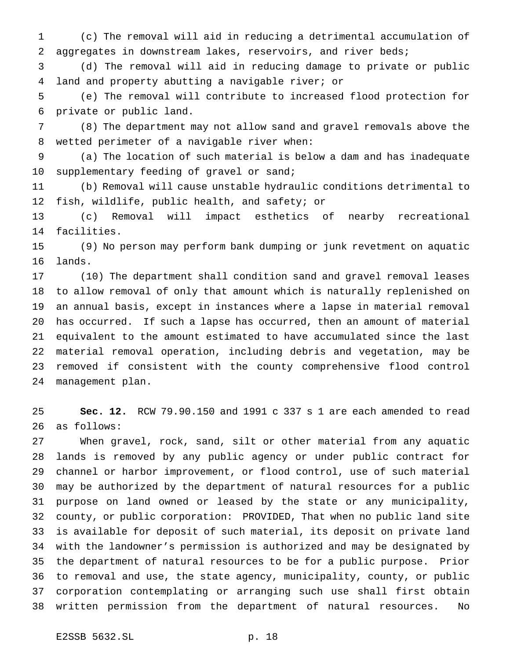(c) The removal will aid in reducing a detrimental accumulation of aggregates in downstream lakes, reservoirs, and river beds;

 (d) The removal will aid in reducing damage to private or public land and property abutting a navigable river; or

 (e) The removal will contribute to increased flood protection for private or public land.

 (8) The department may not allow sand and gravel removals above the wetted perimeter of a navigable river when:

 (a) The location of such material is below a dam and has inadequate supplementary feeding of gravel or sand;

 (b) Removal will cause unstable hydraulic conditions detrimental to fish, wildlife, public health, and safety; or

 (c) Removal will impact esthetics of nearby recreational facilities.

 (9) No person may perform bank dumping or junk revetment on aquatic lands.

 (10) The department shall condition sand and gravel removal leases to allow removal of only that amount which is naturally replenished on an annual basis, except in instances where a lapse in material removal has occurred. If such a lapse has occurred, then an amount of material equivalent to the amount estimated to have accumulated since the last material removal operation, including debris and vegetation, may be removed if consistent with the county comprehensive flood control management plan.

 **Sec. 12.** RCW 79.90.150 and 1991 c 337 s 1 are each amended to read as follows:

 When gravel, rock, sand, silt or other material from any aquatic lands is removed by any public agency or under public contract for channel or harbor improvement, or flood control, use of such material may be authorized by the department of natural resources for a public purpose on land owned or leased by the state or any municipality, county, or public corporation: PROVIDED, That when no public land site is available for deposit of such material, its deposit on private land with the landowner's permission is authorized and may be designated by the department of natural resources to be for a public purpose. Prior to removal and use, the state agency, municipality, county, or public corporation contemplating or arranging such use shall first obtain written permission from the department of natural resources. No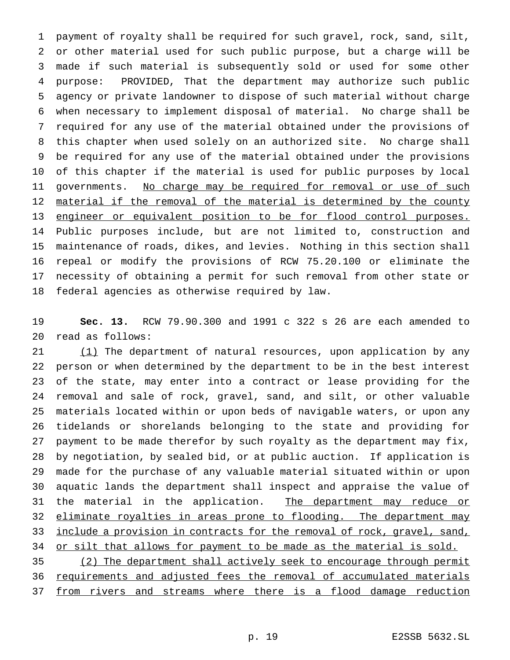payment of royalty shall be required for such gravel, rock, sand, silt, or other material used for such public purpose, but a charge will be made if such material is subsequently sold or used for some other purpose: PROVIDED, That the department may authorize such public agency or private landowner to dispose of such material without charge when necessary to implement disposal of material. No charge shall be required for any use of the material obtained under the provisions of this chapter when used solely on an authorized site. No charge shall be required for any use of the material obtained under the provisions of this chapter if the material is used for public purposes by local 11 governments. No charge may be required for removal or use of such 12 material if the removal of the material is determined by the county engineer or equivalent position to be for flood control purposes. Public purposes include, but are not limited to, construction and maintenance of roads, dikes, and levies. Nothing in this section shall repeal or modify the provisions of RCW 75.20.100 or eliminate the necessity of obtaining a permit for such removal from other state or federal agencies as otherwise required by law.

 **Sec. 13.** RCW 79.90.300 and 1991 c 322 s 26 are each amended to read as follows:

21 (1) The department of natural resources, upon application by any person or when determined by the department to be in the best interest of the state, may enter into a contract or lease providing for the removal and sale of rock, gravel, sand, and silt, or other valuable materials located within or upon beds of navigable waters, or upon any tidelands or shorelands belonging to the state and providing for payment to be made therefor by such royalty as the department may fix, by negotiation, by sealed bid, or at public auction. If application is made for the purchase of any valuable material situated within or upon aquatic lands the department shall inspect and appraise the value of 31 the material in the application. The department may reduce or 32 eliminate royalties in areas prone to flooding. The department may 33 include a provision in contracts for the removal of rock, gravel, sand, 34 or silt that allows for payment to be made as the material is sold.

 (2) The department shall actively seek to encourage through permit 36 requirements and adjusted fees the removal of accumulated materials from rivers and streams where there is a flood damage reduction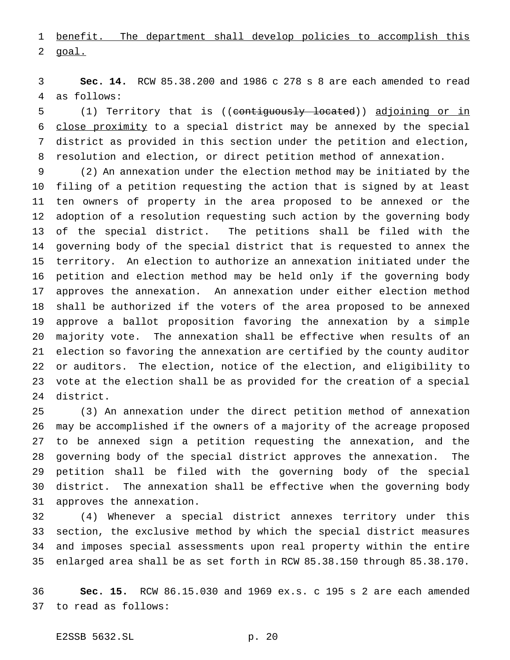benefit. The department shall develop policies to accomplish this goal.

 **Sec. 14.** RCW 85.38.200 and 1986 c 278 s 8 are each amended to read as follows:

5 (1) Territory that is ((contiguously located)) adjoining or in close proximity to a special district may be annexed by the special district as provided in this section under the petition and election, resolution and election, or direct petition method of annexation.

 (2) An annexation under the election method may be initiated by the filing of a petition requesting the action that is signed by at least ten owners of property in the area proposed to be annexed or the adoption of a resolution requesting such action by the governing body of the special district. The petitions shall be filed with the governing body of the special district that is requested to annex the territory. An election to authorize an annexation initiated under the petition and election method may be held only if the governing body approves the annexation. An annexation under either election method shall be authorized if the voters of the area proposed to be annexed approve a ballot proposition favoring the annexation by a simple majority vote. The annexation shall be effective when results of an election so favoring the annexation are certified by the county auditor or auditors. The election, notice of the election, and eligibility to vote at the election shall be as provided for the creation of a special district.

 (3) An annexation under the direct petition method of annexation may be accomplished if the owners of a majority of the acreage proposed to be annexed sign a petition requesting the annexation, and the governing body of the special district approves the annexation. The petition shall be filed with the governing body of the special district. The annexation shall be effective when the governing body approves the annexation.

 (4) Whenever a special district annexes territory under this section, the exclusive method by which the special district measures and imposes special assessments upon real property within the entire enlarged area shall be as set forth in RCW 85.38.150 through 85.38.170.

 **Sec. 15.** RCW 86.15.030 and 1969 ex.s. c 195 s 2 are each amended to read as follows: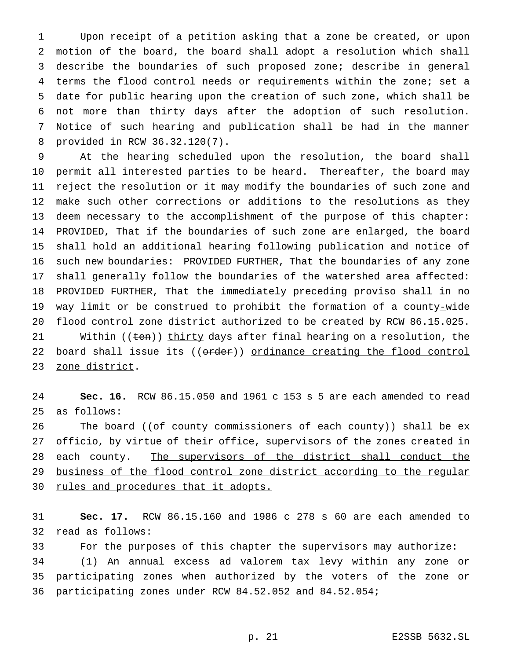Upon receipt of a petition asking that a zone be created, or upon motion of the board, the board shall adopt a resolution which shall describe the boundaries of such proposed zone; describe in general terms the flood control needs or requirements within the zone; set a date for public hearing upon the creation of such zone, which shall be not more than thirty days after the adoption of such resolution. Notice of such hearing and publication shall be had in the manner provided in RCW 36.32.120(7).

 At the hearing scheduled upon the resolution, the board shall permit all interested parties to be heard. Thereafter, the board may reject the resolution or it may modify the boundaries of such zone and make such other corrections or additions to the resolutions as they deem necessary to the accomplishment of the purpose of this chapter: PROVIDED, That if the boundaries of such zone are enlarged, the board shall hold an additional hearing following publication and notice of such new boundaries: PROVIDED FURTHER, That the boundaries of any zone shall generally follow the boundaries of the watershed area affected: PROVIDED FURTHER, That the immediately preceding proviso shall in no way limit or be construed to prohibit the formation of a county-wide flood control zone district authorized to be created by RCW 86.15.025. 21 Within ((ten)) thirty days after final hearing on a resolution, the 22 board shall issue its ((order)) ordinance creating the flood control 23 zone district.

 **Sec. 16.** RCW 86.15.050 and 1961 c 153 s 5 are each amended to read as follows:

26 The board ((<del>of county commissioners of each county</del>)) shall be ex officio, by virtue of their office, supervisors of the zones created in 28 each county. The supervisors of the district shall conduct the business of the flood control zone district according to the regular 30 rules and procedures that it adopts.

 **Sec. 17.** RCW 86.15.160 and 1986 c 278 s 60 are each amended to read as follows:

For the purposes of this chapter the supervisors may authorize:

 (1) An annual excess ad valorem tax levy within any zone or participating zones when authorized by the voters of the zone or participating zones under RCW 84.52.052 and 84.52.054;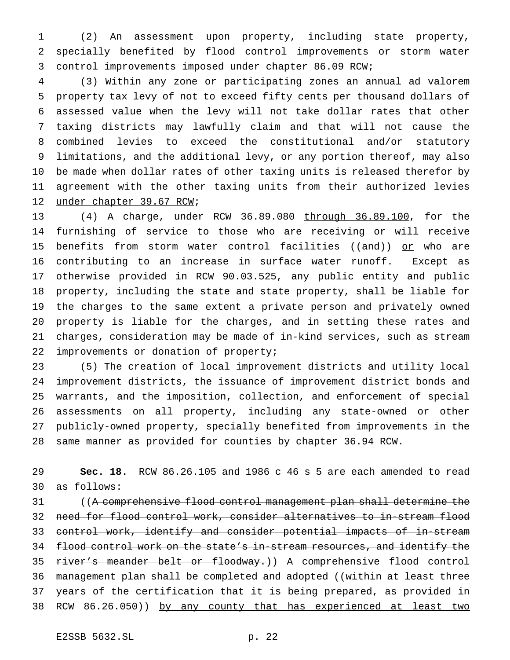(2) An assessment upon property, including state property, specially benefited by flood control improvements or storm water control improvements imposed under chapter 86.09 RCW;

 (3) Within any zone or participating zones an annual ad valorem property tax levy of not to exceed fifty cents per thousand dollars of assessed value when the levy will not take dollar rates that other taxing districts may lawfully claim and that will not cause the combined levies to exceed the constitutional and/or statutory limitations, and the additional levy, or any portion thereof, may also be made when dollar rates of other taxing units is released therefor by agreement with the other taxing units from their authorized levies 12 under chapter 39.67 RCW;

 (4) A charge, under RCW 36.89.080 through 36.89.100, for the furnishing of service to those who are receiving or will receive 15 benefits from storm water control facilities (( $\text{and}$ )) or who are contributing to an increase in surface water runoff. Except as otherwise provided in RCW 90.03.525, any public entity and public property, including the state and state property, shall be liable for the charges to the same extent a private person and privately owned property is liable for the charges, and in setting these rates and charges, consideration may be made of in-kind services, such as stream improvements or donation of property;

 (5) The creation of local improvement districts and utility local improvement districts, the issuance of improvement district bonds and warrants, and the imposition, collection, and enforcement of special assessments on all property, including any state-owned or other publicly-owned property, specially benefited from improvements in the same manner as provided for counties by chapter 36.94 RCW.

 **Sec. 18.** RCW 86.26.105 and 1986 c 46 s 5 are each amended to read as follows:

 ((A comprehensive flood control management plan shall determine the need for flood control work, consider alternatives to in-stream flood control work, identify and consider potential impacts of in-stream flood control work on the state's in-stream resources, and identify the 35 river's meander belt or floodway.)) A comprehensive flood control 36 management plan shall be completed and adopted ((within at least three 37 years of the certification that it is being prepared, as provided in 38 RCW 86.26.050)) by any county that has experienced at least two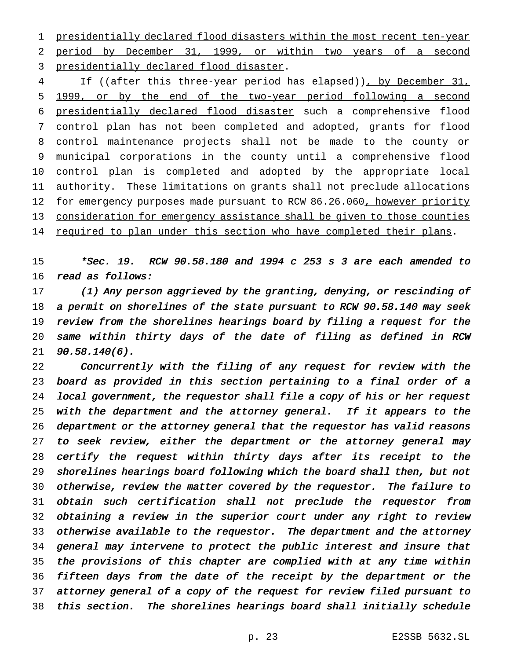presidentially declared flood disasters within the most recent ten-year period by December 31, 1999, or within two years of a second presidentially declared flood disaster.

 If ((after this three-year period has elapsed)), by December 31, 1999, or by the end of the two-year period following a second presidentially declared flood disaster such a comprehensive flood control plan has not been completed and adopted, grants for flood control maintenance projects shall not be made to the county or municipal corporations in the county until a comprehensive flood control plan is completed and adopted by the appropriate local authority. These limitations on grants shall not preclude allocations 12 for emergency purposes made pursuant to RCW 86.26.060, however priority consideration for emergency assistance shall be given to those counties 14 required to plan under this section who have completed their plans.

 \*Sec. 19. RCW 90.58.180 and <sup>1994</sup> <sup>c</sup> <sup>253</sup> <sup>s</sup> <sup>3</sup> are each amended to read as follows:

 (1) Any person aggrieved by the granting, denying, or rescinding of 18 a permit on shorelines of the state pursuant to RCW 90.58.140 may seek review from the shorelines hearings board by filing <sup>a</sup> request for the same within thirty days of the date of filing as defined in RCW 90.58.140(6).

 Concurrently with the filing of any request for review with the board as provided in this section pertaining to <sup>a</sup> final order of <sup>a</sup> local government, the requestor shall file <sup>a</sup> copy of his or her request 25 with the department and the attorney general. If it appears to the department or the attorney general that the requestor has valid reasons 27 to seek review, either the department or the attorney general may certify the request within thirty days after its receipt to the shorelines hearings board following which the board shall then, but not otherwise, review the matter covered by the requestor. The failure to obtain such certification shall not preclude the requestor from obtaining <sup>a</sup> review in the superior court under any right to review 33 otherwise available to the requestor. The department and the attorney general may intervene to protect the public interest and insure that the provisions of this chapter are complied with at any time within fifteen days from the date of the receipt by the department or the attorney general of <sup>a</sup> copy of the request for review filed pursuant to this section. The shorelines hearings board shall initially schedule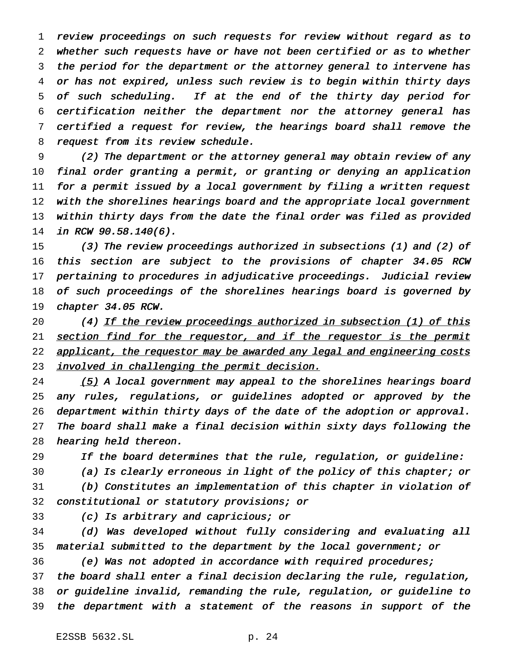review proceedings on such requests for review without regard as to whether such requests have or have not been certified or as to whether the period for the department or the attorney general to intervene has or has not expired, unless such review is to begin within thirty days of such scheduling. If at the end of the thirty day period for certification neither the department nor the attorney general has certified <sup>a</sup> request for review, the hearings board shall remove the request from its review schedule.

 (2) The department or the attorney general may obtain review of any final order granting <sup>a</sup> permit, or granting or denying an application for <sup>a</sup> permit issued by <sup>a</sup> local government by filing <sup>a</sup> written request 12 with the shorelines hearings board and the appropriate local government within thirty days from the date the final order was filed as provided in RCW 90.58.140(6).

 (3) The review proceedings authorized in subsections (1) and (2) of this section are subject to the provisions of chapter 34.05 RCW pertaining to procedures in adjudicative proceedings. Judicial review 18 of such proceedings of the shorelines hearings board is governed by chapter 34.05 RCW.

20 (4) If the review proceedings authorized in subsection (1) of this 21 section find for the requestor, and if the requestor is the permit 22 applicant, the requestor may be awarded any legal and engineering costs 23 involved in challenging the permit decision.

 (5) A local government may appeal to the shorelines hearings board any rules, regulations, or guidelines adopted or approved by the department within thirty days of the date of the adoption or approval. The board shall make <sup>a</sup> final decision within sixty days following the hearing held thereon.

29 If the board determines that the rule, regulation, or guideline:

 (a) Is clearly erroneous in light of the policy of this chapter; or (b) Constitutes an implementation of this chapter in violation of

constitutional or statutory provisions; or

(c) Is arbitrary and capricious; or

 (d) Was developed without fully considering and evaluating all material submitted to the department by the local government; or

 (e) Was not adopted in accordance with required procedures; the board shall enter <sup>a</sup> final decision declaring the rule, regulation, or guideline invalid, remanding the rule, regulation, or guideline to the department with <sup>a</sup> statement of the reasons in support of the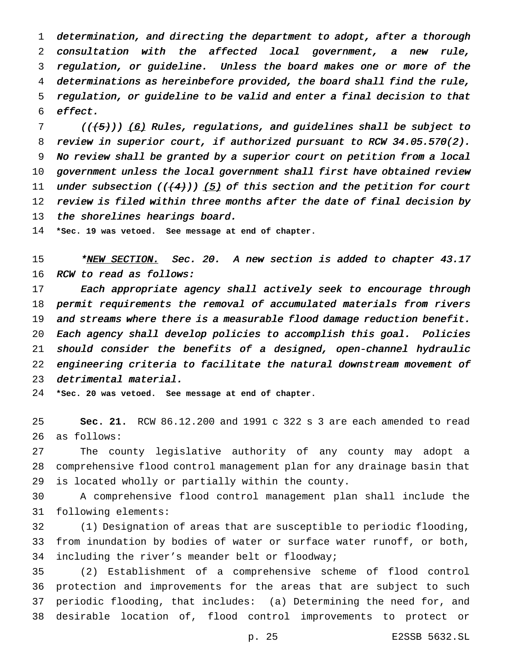determination, and directing the department to adopt, after <sup>a</sup> thorough consultation with the affected local government, <sup>a</sup> new rule, regulation, or guideline. Unless the board makes one or more of the determinations as hereinbefore provided, the board shall find the rule, regulation, or guideline to be valid and enter <sup>a</sup> final decision to that effect.

 (( $\left(\frac{+5}{} \right)$ ) (6) Rules, regulations, and guidelines shall be subject to review in superior court, if authorized pursuant to RCW 34.05.570(2). No review shall be granted by <sup>a</sup> superior court on petition from <sup>a</sup> local government unless the local government shall first have obtained review 11 under subsection (( $\left(4\right)$ )) (5) of this section and the petition for court 12 review is filed within three months after the date of final decision by 13 the shorelines hearings board.

**\*Sec. 19 was vetoed. See message at end of chapter.**

15 \*NEW SECTION. Sec. 20. A new section is added to chapter 43.17 RCW to read as follows:

 Each appropriate agency shall actively seek to encourage through permit requirements the removal of accumulated materials from rivers 19 and streams where there is a measurable flood damage reduction benefit. Each agency shall develop policies to accomplish this goal. Policies should consider the benefits of <sup>a</sup> designed, open-channel hydraulic engineering criteria to facilitate the natural downstream movement of detrimental material.

**\*Sec. 20 was vetoed. See message at end of chapter.**

 **Sec. 21.** RCW 86.12.200 and 1991 c 322 s 3 are each amended to read as follows:

 The county legislative authority of any county may adopt a comprehensive flood control management plan for any drainage basin that is located wholly or partially within the county.

 A comprehensive flood control management plan shall include the following elements:

 (1) Designation of areas that are susceptible to periodic flooding, from inundation by bodies of water or surface water runoff, or both, including the river's meander belt or floodway;

 (2) Establishment of a comprehensive scheme of flood control protection and improvements for the areas that are subject to such periodic flooding, that includes: (a) Determining the need for, and desirable location of, flood control improvements to protect or

p. 25 E2SSB 5632.SL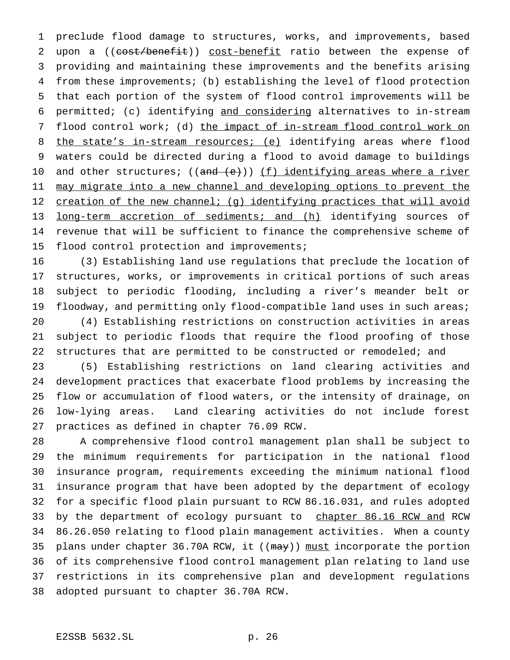preclude flood damage to structures, works, and improvements, based 2 upon a ((cost/benefit)) cost-benefit ratio between the expense of providing and maintaining these improvements and the benefits arising from these improvements; (b) establishing the level of flood protection that each portion of the system of flood control improvements will be permitted; (c) identifying and considering alternatives to in-stream 7 flood control work; (d) the impact of in-stream flood control work on 8 the state's in-stream resources; (e) identifying areas where flood waters could be directed during a flood to avoid damage to buildings 10 and other structures; ((and (e))) (f) identifying areas where a river may migrate into a new channel and developing options to prevent the 12 creation of the new channel; (g) identifying practices that will avoid long-term accretion of sediments; and (h) identifying sources of revenue that will be sufficient to finance the comprehensive scheme of flood control protection and improvements;

 (3) Establishing land use regulations that preclude the location of structures, works, or improvements in critical portions of such areas subject to periodic flooding, including a river's meander belt or floodway, and permitting only flood-compatible land uses in such areas;

 (4) Establishing restrictions on construction activities in areas subject to periodic floods that require the flood proofing of those 22 structures that are permitted to be constructed or remodeled; and

 (5) Establishing restrictions on land clearing activities and development practices that exacerbate flood problems by increasing the flow or accumulation of flood waters, or the intensity of drainage, on low-lying areas. Land clearing activities do not include forest practices as defined in chapter 76.09 RCW.

 A comprehensive flood control management plan shall be subject to the minimum requirements for participation in the national flood insurance program, requirements exceeding the minimum national flood insurance program that have been adopted by the department of ecology for a specific flood plain pursuant to RCW 86.16.031, and rules adopted 33 by the department of ecology pursuant to chapter 86.16 RCW and RCW 86.26.050 relating to flood plain management activities. When a county 35 plans under chapter 36.70A RCW, it  $((\text{max}))$  must incorporate the portion of its comprehensive flood control management plan relating to land use restrictions in its comprehensive plan and development regulations adopted pursuant to chapter 36.70A RCW.

# E2SSB 5632.SL p. 26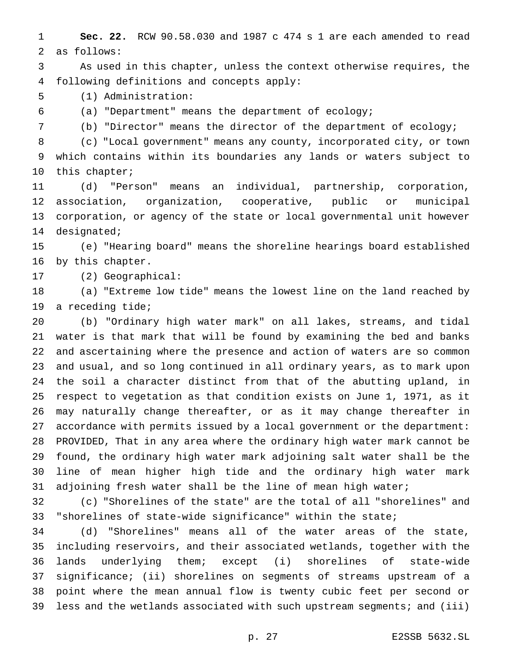**Sec. 22.** RCW 90.58.030 and 1987 c 474 s 1 are each amended to read as follows:

 As used in this chapter, unless the context otherwise requires, the following definitions and concepts apply:

(1) Administration:

(a) "Department" means the department of ecology;

(b) "Director" means the director of the department of ecology;

 (c) "Local government" means any county, incorporated city, or town which contains within its boundaries any lands or waters subject to this chapter;

 (d) "Person" means an individual, partnership, corporation, association, organization, cooperative, public or municipal corporation, or agency of the state or local governmental unit however designated;

 (e) "Hearing board" means the shoreline hearings board established by this chapter.

(2) Geographical:

 (a) "Extreme low tide" means the lowest line on the land reached by a receding tide;

 (b) "Ordinary high water mark" on all lakes, streams, and tidal water is that mark that will be found by examining the bed and banks and ascertaining where the presence and action of waters are so common and usual, and so long continued in all ordinary years, as to mark upon the soil a character distinct from that of the abutting upland, in respect to vegetation as that condition exists on June 1, 1971, as it may naturally change thereafter, or as it may change thereafter in accordance with permits issued by a local government or the department: PROVIDED, That in any area where the ordinary high water mark cannot be found, the ordinary high water mark adjoining salt water shall be the line of mean higher high tide and the ordinary high water mark 31 adjoining fresh water shall be the line of mean high water;

 (c) "Shorelines of the state" are the total of all "shorelines" and "shorelines of state-wide significance" within the state;

 (d) "Shorelines" means all of the water areas of the state, including reservoirs, and their associated wetlands, together with the lands underlying them; except (i) shorelines of state-wide significance; (ii) shorelines on segments of streams upstream of a point where the mean annual flow is twenty cubic feet per second or less and the wetlands associated with such upstream segments; and (iii)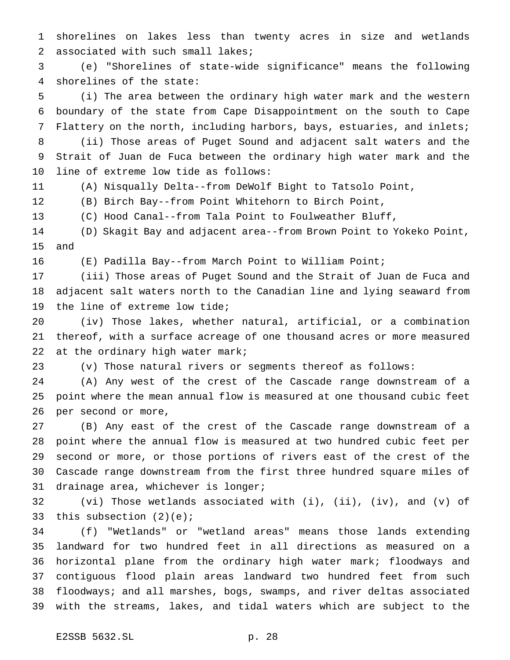shorelines on lakes less than twenty acres in size and wetlands associated with such small lakes;

 (e) "Shorelines of state-wide significance" means the following shorelines of the state:

 (i) The area between the ordinary high water mark and the western boundary of the state from Cape Disappointment on the south to Cape Flattery on the north, including harbors, bays, estuaries, and inlets; (ii) Those areas of Puget Sound and adjacent salt waters and the

 Strait of Juan de Fuca between the ordinary high water mark and the line of extreme low tide as follows:

(A) Nisqually Delta--from DeWolf Bight to Tatsolo Point,

(B) Birch Bay--from Point Whitehorn to Birch Point,

(C) Hood Canal--from Tala Point to Foulweather Bluff,

 (D) Skagit Bay and adjacent area--from Brown Point to Yokeko Point, and

(E) Padilla Bay--from March Point to William Point;

 (iii) Those areas of Puget Sound and the Strait of Juan de Fuca and adjacent salt waters north to the Canadian line and lying seaward from the line of extreme low tide;

 (iv) Those lakes, whether natural, artificial, or a combination thereof, with a surface acreage of one thousand acres or more measured 22 at the ordinary high water mark;

(v) Those natural rivers or segments thereof as follows:

 (A) Any west of the crest of the Cascade range downstream of a point where the mean annual flow is measured at one thousand cubic feet per second or more,

 (B) Any east of the crest of the Cascade range downstream of a point where the annual flow is measured at two hundred cubic feet per second or more, or those portions of rivers east of the crest of the Cascade range downstream from the first three hundred square miles of drainage area, whichever is longer;

 (vi) Those wetlands associated with (i), (ii), (iv), and (v) of 33 this subsection  $(2)(e)$ ;

 (f) "Wetlands" or "wetland areas" means those lands extending landward for two hundred feet in all directions as measured on a horizontal plane from the ordinary high water mark; floodways and contiguous flood plain areas landward two hundred feet from such floodways; and all marshes, bogs, swamps, and river deltas associated with the streams, lakes, and tidal waters which are subject to the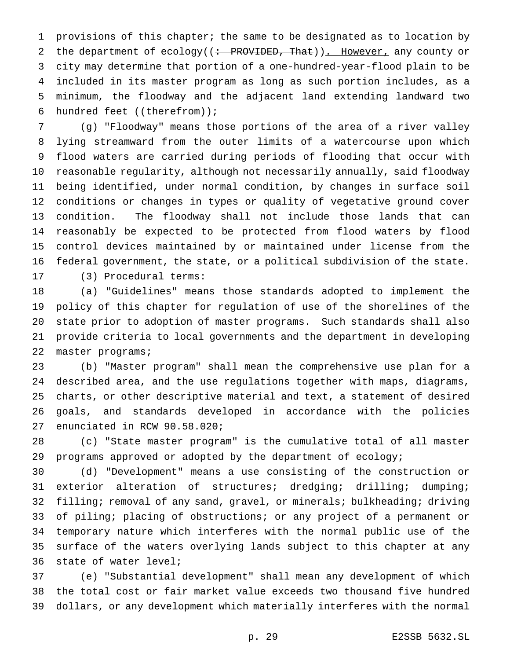provisions of this chapter; the same to be designated as to location by 2 the department of ecology (: PROVIDED, That)). However, any county or city may determine that portion of a one-hundred-year-flood plain to be included in its master program as long as such portion includes, as a minimum, the floodway and the adjacent land extending landward two 6 hundred feet ((therefrom));

 (g) "Floodway" means those portions of the area of a river valley lying streamward from the outer limits of a watercourse upon which flood waters are carried during periods of flooding that occur with reasonable regularity, although not necessarily annually, said floodway being identified, under normal condition, by changes in surface soil conditions or changes in types or quality of vegetative ground cover condition. The floodway shall not include those lands that can reasonably be expected to be protected from flood waters by flood control devices maintained by or maintained under license from the federal government, the state, or a political subdivision of the state. (3) Procedural terms:

 (a) "Guidelines" means those standards adopted to implement the policy of this chapter for regulation of use of the shorelines of the state prior to adoption of master programs. Such standards shall also provide criteria to local governments and the department in developing 22 master programs;

 (b) "Master program" shall mean the comprehensive use plan for a described area, and the use regulations together with maps, diagrams, charts, or other descriptive material and text, a statement of desired goals, and standards developed in accordance with the policies enunciated in RCW 90.58.020;

 (c) "State master program" is the cumulative total of all master programs approved or adopted by the department of ecology;

 (d) "Development" means a use consisting of the construction or exterior alteration of structures; dredging; drilling; dumping; filling; removal of any sand, gravel, or minerals; bulkheading; driving of piling; placing of obstructions; or any project of a permanent or temporary nature which interferes with the normal public use of the surface of the waters overlying lands subject to this chapter at any state of water level;

 (e) "Substantial development" shall mean any development of which the total cost or fair market value exceeds two thousand five hundred dollars, or any development which materially interferes with the normal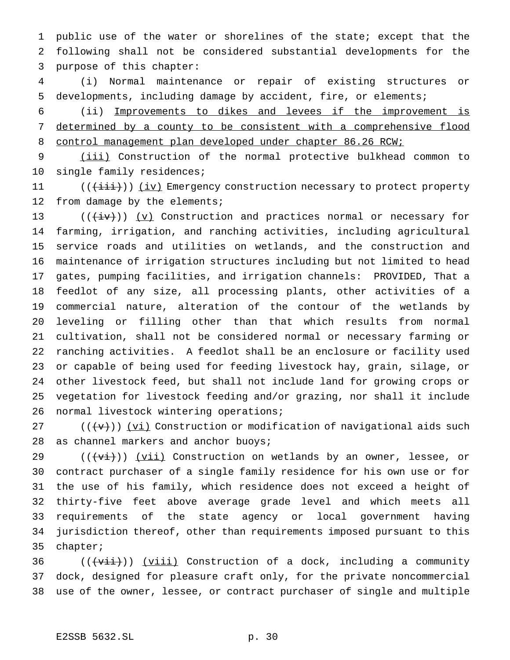public use of the water or shorelines of the state; except that the following shall not be considered substantial developments for the purpose of this chapter:

 (i) Normal maintenance or repair of existing structures or developments, including damage by accident, fire, or elements;

 (ii) Improvements to dikes and levees if the improvement is determined by a county to be consistent with a comprehensive flood 8 control management plan developed under chapter 86.26 RCW;

 (iii) Construction of the normal protective bulkhead common to single family residences;

11 (( $(i+1i)$ )) (iv) Emergency construction necessary to protect property 12 from damage by the elements;

 $((\overleftrightarrow{iv}))$   $(v)$  Construction and practices normal or necessary for farming, irrigation, and ranching activities, including agricultural service roads and utilities on wetlands, and the construction and maintenance of irrigation structures including but not limited to head gates, pumping facilities, and irrigation channels: PROVIDED, That a feedlot of any size, all processing plants, other activities of a commercial nature, alteration of the contour of the wetlands by leveling or filling other than that which results from normal cultivation, shall not be considered normal or necessary farming or ranching activities. A feedlot shall be an enclosure or facility used or capable of being used for feeding livestock hay, grain, silage, or other livestock feed, but shall not include land for growing crops or vegetation for livestock feeding and/or grazing, nor shall it include normal livestock wintering operations;

27 ( $(\forall \forall)$ ) (vi) Construction or modification of navigational aids such as channel markers and anchor buoys;

 $((\overline{\mathbf{v}\mathbf{i}}))$  ( $\underline{\mathbf{v}\mathbf{i}\mathbf{i}})$  Construction on wetlands by an owner, lessee, or contract purchaser of a single family residence for his own use or for the use of his family, which residence does not exceed a height of thirty-five feet above average grade level and which meets all requirements of the state agency or local government having jurisdiction thereof, other than requirements imposed pursuant to this chapter;

36  $((\overline{\text{viii}}))$  (viii) Construction of a dock, including a community dock, designed for pleasure craft only, for the private noncommercial use of the owner, lessee, or contract purchaser of single and multiple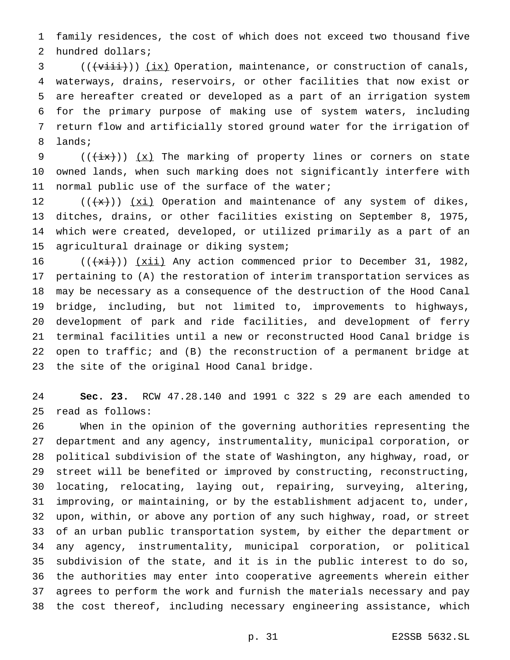family residences, the cost of which does not exceed two thousand five hundred dollars;

3 ((( $\overline{v\pm i}$ )) (ix) Operation, maintenance, or construction of canals, waterways, drains, reservoirs, or other facilities that now exist or are hereafter created or developed as a part of an irrigation system for the primary purpose of making use of system waters, including return flow and artificially stored ground water for the irrigation of lands;

9  $((\overleftrightarrow{xx}))$   $(x)$  The marking of property lines or corners on state owned lands, when such marking does not significantly interfere with normal public use of the surface of the water;

 $((\{x\})$   $(xi)$  Operation and maintenance of any system of dikes, ditches, drains, or other facilities existing on September 8, 1975, which were created, developed, or utilized primarily as a part of an agricultural drainage or diking system;

 $((\overline{+x\cdot}))(\overline{x\cdot i})$  Any action commenced prior to December 31, 1982, pertaining to (A) the restoration of interim transportation services as may be necessary as a consequence of the destruction of the Hood Canal bridge, including, but not limited to, improvements to highways, development of park and ride facilities, and development of ferry terminal facilities until a new or reconstructed Hood Canal bridge is open to traffic; and (B) the reconstruction of a permanent bridge at the site of the original Hood Canal bridge.

 **Sec. 23.** RCW 47.28.140 and 1991 c 322 s 29 are each amended to read as follows:

 When in the opinion of the governing authorities representing the department and any agency, instrumentality, municipal corporation, or political subdivision of the state of Washington, any highway, road, or street will be benefited or improved by constructing, reconstructing, locating, relocating, laying out, repairing, surveying, altering, improving, or maintaining, or by the establishment adjacent to, under, upon, within, or above any portion of any such highway, road, or street of an urban public transportation system, by either the department or any agency, instrumentality, municipal corporation, or political subdivision of the state, and it is in the public interest to do so, the authorities may enter into cooperative agreements wherein either agrees to perform the work and furnish the materials necessary and pay the cost thereof, including necessary engineering assistance, which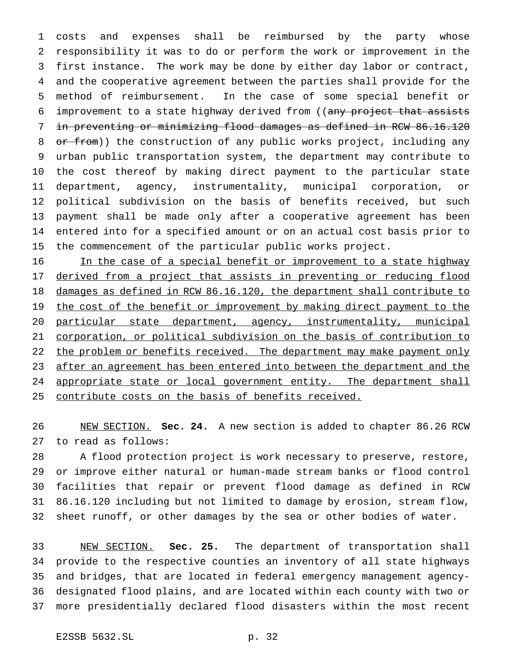costs and expenses shall be reimbursed by the party whose responsibility it was to do or perform the work or improvement in the first instance. The work may be done by either day labor or contract, and the cooperative agreement between the parties shall provide for the method of reimbursement. In the case of some special benefit or 6 improvement to a state highway derived from ((any project that assists in preventing or minimizing flood damages as defined in RCW 86.16.120 8 or from)) the construction of any public works project, including any urban public transportation system, the department may contribute to the cost thereof by making direct payment to the particular state department, agency, instrumentality, municipal corporation, or political subdivision on the basis of benefits received, but such payment shall be made only after a cooperative agreement has been entered into for a specified amount or on an actual cost basis prior to the commencement of the particular public works project.

16 In the case of a special benefit or improvement to a state highway 17 derived from a project that assists in preventing or reducing flood damages as defined in RCW 86.16.120, the department shall contribute to 19 the cost of the benefit or improvement by making direct payment to the particular state department, agency, instrumentality, municipal corporation, or political subdivision on the basis of contribution to 22 the problem or benefits received. The department may make payment only 23 after an agreement has been entered into between the department and the 24 appropriate state or local government entity. The department shall 25 contribute costs on the basis of benefits received.

 NEW SECTION. **Sec. 24.** A new section is added to chapter 86.26 RCW to read as follows:

 A flood protection project is work necessary to preserve, restore, or improve either natural or human-made stream banks or flood control facilities that repair or prevent flood damage as defined in RCW 86.16.120 including but not limited to damage by erosion, stream flow, sheet runoff, or other damages by the sea or other bodies of water.

 NEW SECTION. **Sec. 25.** The department of transportation shall provide to the respective counties an inventory of all state highways and bridges, that are located in federal emergency management agency- designated flood plains, and are located within each county with two or more presidentially declared flood disasters within the most recent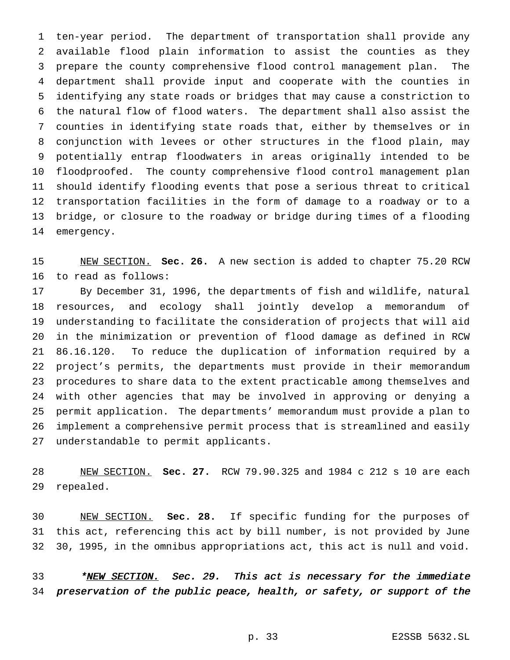ten-year period. The department of transportation shall provide any available flood plain information to assist the counties as they prepare the county comprehensive flood control management plan. The department shall provide input and cooperate with the counties in identifying any state roads or bridges that may cause a constriction to the natural flow of flood waters. The department shall also assist the counties in identifying state roads that, either by themselves or in conjunction with levees or other structures in the flood plain, may potentially entrap floodwaters in areas originally intended to be floodproofed. The county comprehensive flood control management plan should identify flooding events that pose a serious threat to critical transportation facilities in the form of damage to a roadway or to a bridge, or closure to the roadway or bridge during times of a flooding emergency.

 NEW SECTION. **Sec. 26.** A new section is added to chapter 75.20 RCW to read as follows:

 By December 31, 1996, the departments of fish and wildlife, natural resources, and ecology shall jointly develop a memorandum of understanding to facilitate the consideration of projects that will aid in the minimization or prevention of flood damage as defined in RCW 86.16.120. To reduce the duplication of information required by a project's permits, the departments must provide in their memorandum procedures to share data to the extent practicable among themselves and with other agencies that may be involved in approving or denying a permit application. The departments' memorandum must provide a plan to implement a comprehensive permit process that is streamlined and easily understandable to permit applicants.

 NEW SECTION. **Sec. 27.** RCW 79.90.325 and 1984 c 212 s 10 are each repealed.

 NEW SECTION. **Sec. 28.** If specific funding for the purposes of this act, referencing this act by bill number, is not provided by June 30, 1995, in the omnibus appropriations act, this act is null and void.

33 \*NEW SECTION. Sec. 29. This act is necessary for the immediate preservation of the public peace, health, or safety, or support of the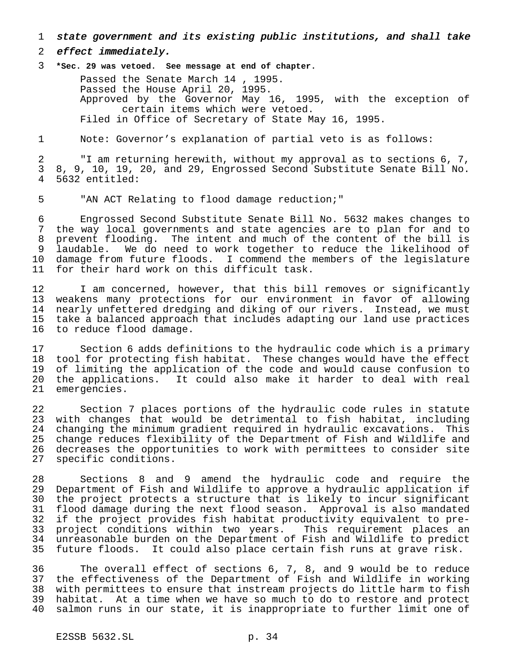- state government and its existing public institutions, and shall take
- effect immediately.
- **\*Sec. 29 was vetoed. See message at end of chapter.**

Passed the Senate March 14 , 1995. Passed the House April 20, 1995. Approved by the Governor May 16, 1995, with the exception of certain items which were vetoed. Filed in Office of Secretary of State May 16, 1995.

Note: Governor's explanation of partial veto is as follows:

 "I am returning herewith, without my approval as to sections 6, 7, 8, 9, 10, 19, 20, and 29, Engrossed Second Substitute Senate Bill No. 5632 entitled:

"AN ACT Relating to flood damage reduction;"

 Engrossed Second Substitute Senate Bill No. 5632 makes changes to the way local governments and state agencies are to plan for and to prevent flooding. The intent and much of the content of the bill is laudable. We do need to work together to reduce the likelihood of damage from future floods. I commend the members of the legislature for their hard work on this difficult task.

12 I am concerned, however, that this bill removes or significantly<br>13 weakens many protections for our environment in favor of allowing weakens many protections for our environment in favor of allowing nearly unfettered dredging and diking of our rivers. Instead, we must 15 take a balanced approach that includes adapting our land use practices<br>16 to reduce flood damage. to reduce flood damage.

 Section 6 adds definitions to the hydraulic code which is a primary tool for protecting fish habitat. These changes would have the effect of limiting the application of the code and would cause confusion to 20 the applications. It could also make it harder to deal with real<br>21 emergencies. emergencies.

 Section 7 places portions of the hydraulic code rules in statute with changes that would be detrimental to fish habitat, including 24 changing the minimum gradient required in hydraulic excavations. This<br>25 change reduces flexibility of the Department of Fish and Wildlife and change reduces flexibility of the Department of Fish and Wildlife and 26 decreases the opportunities to work with permittees to consider site<br>27 specific conditions. specific conditions.

 Sections 8 and 9 amend the hydraulic code and require the Department of Fish and Wildlife to approve a hydraulic application if the project protects a structure that is likely to incur significant flood damage during the next flood season. Approval is also mandated if the project provides fish habitat productivity equivalent to pre- project conditions within two years. This requirement places an 34 unreasonable burden on the Department of Fish and Wildlife to predict<br>35 future floods. It could also place certain fish runs at grave risk. future floods. It could also place certain fish runs at grave risk.

 The overall effect of sections 6, 7, 8, and 9 would be to reduce the effectiveness of the Department of Fish and Wildlife in working with permittees to ensure that instream projects do little harm to fish habitat. At a time when we have so much to do to restore and protect salmon runs in our state, it is inappropriate to further limit one of